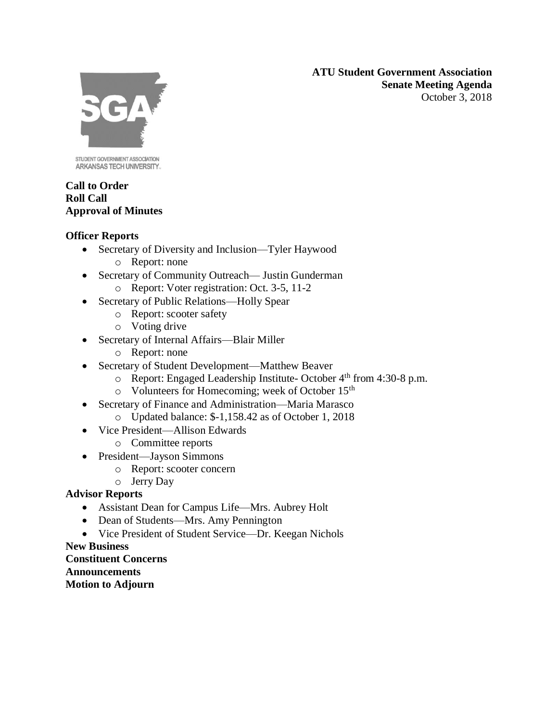**ATU Student Government Association Senate Meeting Agenda** October 3, 2018



STUDENT GOVERNMENT ASSOCIATION ARKANSAS TECH UNIVERSITY.

### **Call to Order Roll Call Approval of Minutes**

# **Officer Reports**

- Secretary of Diversity and Inclusion—Tyler Haywood
	- o Report: none
- Secretary of Community Outreach— Justin Gunderman
	- o Report: Voter registration: Oct. 3-5, 11-2
- Secretary of Public Relations—Holly Spear
	- o Report: scooter safety
	- o Voting drive
- Secretary of Internal Affairs—Blair Miller
	- o Report: none
- Secretary of Student Development—Matthew Beaver
	- $\circ$  Report: Engaged Leadership Institute- October 4<sup>th</sup> from 4:30-8 p.m.
	- o Volunteers for Homecoming; week of October 15th
- Secretary of Finance and Administration—Maria Marasco
	- o Updated balance: \$-1,158.42 as of October 1, 2018
- Vice President—Allison Edwards
	- o Committee reports
- President—Jayson Simmons
	- o Report: scooter concern
	- o Jerry Day

# **Advisor Reports**

- Assistant Dean for Campus Life—Mrs. Aubrey Holt
- Dean of Students—Mrs. Amy Pennington
- Vice President of Student Service—Dr. Keegan Nichols

### **New Business Constituent Concerns Announcements Motion to Adjourn**